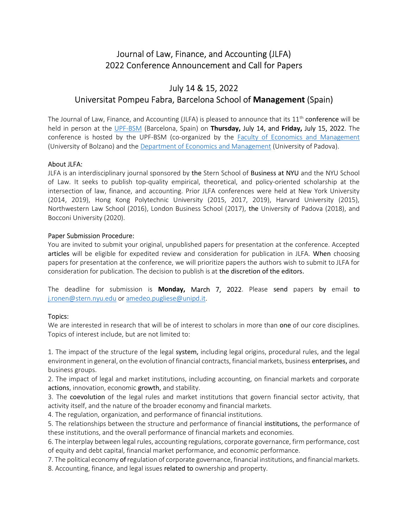# Journal of Law, Finance, and Accounting (JLFA) 2022 Conference Announcement and Call for Papers

# July 14 & 15, 2022 Universitat Pompeu Fabra, Barcelona School of Management (Spain)

The Journal of Law, Finance, and Accounting (JLFA) is pleased to announce that its  $11<sup>th</sup>$  conference will be held in person at the UPF-BSM (Barcelona, Spain) on Thursday, July 14, and Friday, July 15, 2022. The conference is hosted by the UPF-BSM (co-organized by the Faculty of Economics and Management (University of Bolzano) and the Department of Economics and Management (University of Padova).

## About JLFA:

JLFA is an interdisciplinary journal sponsored by the Stern School of Business at NYU and the NYU School of Law. It seeks to publish top-quality empirical, theoretical, and policy-oriented scholarship at the intersection of law, finance, and accounting. Prior JLFA conferences were held at New York University (2014, 2019), Hong Kong Polytechnic University (2015, 2017, 2019), Harvard University (2015), Northwestern Law School (2016), London Business School (2017), the University of Padova (2018), and Bocconi University (2020).

#### Paper Submission Procedure:

You are invited to submit your original, unpublished papers for presentation at the conference. Accepted articles will be eligible for expedited review and consideration for publication in JLFA. When choosing papers for presentation at the conference, we will prioritize papers the authors wish to submit to JLFA for consideration for publication. The decision to publish is at the discretion of the editors.

The deadline for submission is Monday, March 7, 2022. Please send papers by email to j.ronen@stern.nyu.edu or amedeo.pugliese@unipd.it.

## Topics:

We are interested in research that will be of interest to scholars in more than one of our core disciplines. Topics of interest include, but are not limited to:

1. The impact of the structure of the legal system, including legal origins, procedural rules, and the legal environment in general, on the evolution of financial contracts, financial markets, business enterprises, and business groups.

2. The impact of legal and market institutions, including accounting, on financial markets and corporate actions, innovation, economic growth, and stability.

3. The coevolution of the legal rules and market institutions that govern financial sector activity, that activity itself, and the nature of the broader economy and financial markets.

4. The regulation, organization, and performance of financial institutions.

5. The relationships between the structure and performance of financial institutions, the performance of these institutions, and the overall performance of financial markets and economies.

6. The interplay between legal rules, accounting regulations, corporate governance, firm performance, cost of equity and debt capital, financial market performance, and economic performance.

7. The political economy of regulation of corporate governance, financial institutions, and financial markets. 8. Accounting, finance, and legal issues related to ownership and property.